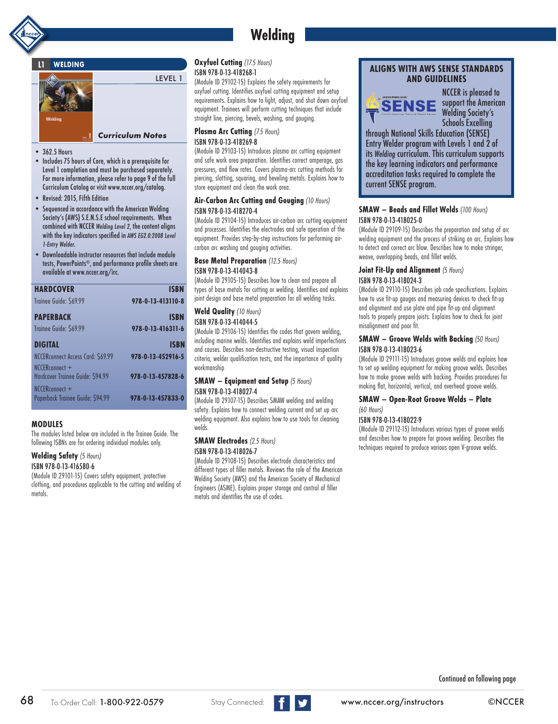# **Welding**

# **L1 WELDING**



- 362.5 Hours
- Includes 75 hours of Core, which is a prerequisite for Level 1 completion and must be purchased separately. For more information, please refer to page 9 of the full Curriculum Catalog or visit www.nccer.org/catalog.
- Revised: 2015, Fifth Edition
- Sequenced in accordance with the American Welding Society's (AWS) S.E.N.S.E school requirements. When combined with NCCER *Welding Level 2*, the content aligns with the key indicators specified in *AWS EG2.0:2008 Level 1-Entry Welder*.
- Downloadable instructor resources that include module tests, PowerPoints®, and performance profile sheets are available at www.nccer.org/irc.

| <b>HARDCOVER</b>                                   | <b>ISBN</b>       |
|----------------------------------------------------|-------------------|
| Trainee Guide: \$69.99                             | 978-0-13-413110-8 |
| <b>PAPERBACK</b>                                   | <b>ISBN</b>       |
| Trainee Guide: \$69.99                             | 978-0-13-416311-6 |
| DIGITAL                                            | ISBN              |
| NCCERconnect Access Card: \$69.99                  | 978-0-13-452916-5 |
| NCCERconnect +<br>Hardcover Trainee Guide: \$94.99 | 978-0-13-457828-6 |
| NCCERconnect +<br>Paperback Trainee Guide: \$94.99 | 978-0-13-457833-0 |
|                                                    |                   |

# **MODULES**

The modules listed below are included in the Trainee Guide. The following ISBNs are for ordering individual modules only.

# **Welding Safety** *(5 Hours)*

## ISBN 978-0-13-416580-6

(Module ID 29101-15) Covers safety equipment, protective clothing, and procedures applicable to the cutting and welding of metals.

# **Oxyfuel Cutting** *(17.5 Hours)* ISBN 978-0-13-418268-1

LEVEL 1

(Module ID 29102-15) Explains the safety requirements for oxyfuel cutting. Identifies oxyfuel cutting equipment and setup requirements. Explains how to light, adjust, and shut down oxyfuel equipment. Trainees will perform cutting techniques that include straight line, piercing, bevels, washing, and gouging.

#### **Plasma Arc Cutting** *(7.5 Hours)*  ISBN 978-0-13-418269-8

(Module ID 29103-15) Introduces plasma arc cutting equipment and safe work area preparation. Identifies correct amperage, gas pressures, and flow rates. Covers plasma-arc cutting methods for piercing, slotting, squaring, and beveling metals. Explains how to store equipment and clean the work area.

#### **Air-Carbon Arc Cutting and Gouging** *(10 Hours)* ISBN 978-0-13-418270-4

(Module ID 29104-15) Introduces air-carbon arc cutting equipment and processes. Identifies the electrodes and safe operation of the equipment. Provides step-by-step instructions for performing aircarbon arc washing and gouging activities.

**Base Metal Preparation** *(12.5 Hours)*

#### ISBN 978-0-13-414043-8

(Module ID 29105-15) Describes how to clean and prepare all types of base metals for cutting or welding. Identifies and explains joint design and base metal preparation for all welding tasks.

#### **Weld Quality** *(10 Hours)* ISBN 978-0-13-414044-5

(Module ID 29106-15) Identifies the codes that govern welding, including marine welds. Identifies and explains weld imperfections and causes. Describes non-destructive testing, visual inspection criteria, welder qualification tests, and the importance of quality workmanship

## **SMAW – Equipment and Setup** *(5 Hours)* ISBN 978-0-13-418027-4

(Module ID 29107-15) Describes SMAW welding and welding safety. Explains how to connect welding current and set up arc welding equipment. Also explains how to use tools for cleaning welds.

# **SMAW Electrodes** *(2.5 Hours)*

#### ISBN 978-0-13-418026-7

(Module ID 29108-15) Describes electrode characteristics and different types of filler metals. Reviews the role of the American Welding Society (AWS) and the American Society of Mechanical Engineers (ASME). Explains proper storage and control of filler metals and identifies the use of codes.

# **ALIGNS WITH AWS SENSE STANDARDS AND GUIDELINES**



NCCER is pleased to support the American Welding Society's Schools Excelling

through National Skills Education (SENSE) Entry Welder program with Levels 1 and 2 of its *Welding* curriculum. This curriculum supports the key learning indicators and performance accreditation tasks required to complete the current SENSE program.

# **SMAW – Beads and Fillet Welds** *(100 Hours)* ISBN 978-0-13-418025-0

(Module ID 29109-15) Describes the preparation and setup of arc welding equipment and the process of striking an arc. Explains how to detect and correct arc blow. Describes how to make stringer, weave, overlapping beads, and fillet welds.

#### **Joint Fit-Up and Alignment** *(5 Hours)* ISBN 978-0-13-418024-3

#### (Module ID 29110-15) Describes job code specifications. Explains how to use fit-up gauges and measuring devices to check fit-up and alignment and use plate and pipe fit-up and alignment tools to properly prepare joists. Explains how to check for joint misalignment and poor fit.

# **SMAW – Groove Welds with Backing** *(50 Hours)* ISBN 978-0-13-418023-6

(Module ID 29111-15) Introduces groove welds and explains how to set up welding equipment for making groove welds. Describes how to make groove welds with backing. Provides procedures for making flat, horizontal, vertical, and overhead groove welds.

#### **SMAW – Open-Root Groove Welds – Plate**  *(60 Hours)*

## ISBN 978-0-13-418022-9

(Module ID 29112-15) Introduces various types of groove welds and describes how to prepare for groove welding. Describes the techniques required to produce various open V-groove welds.

Continued on following page

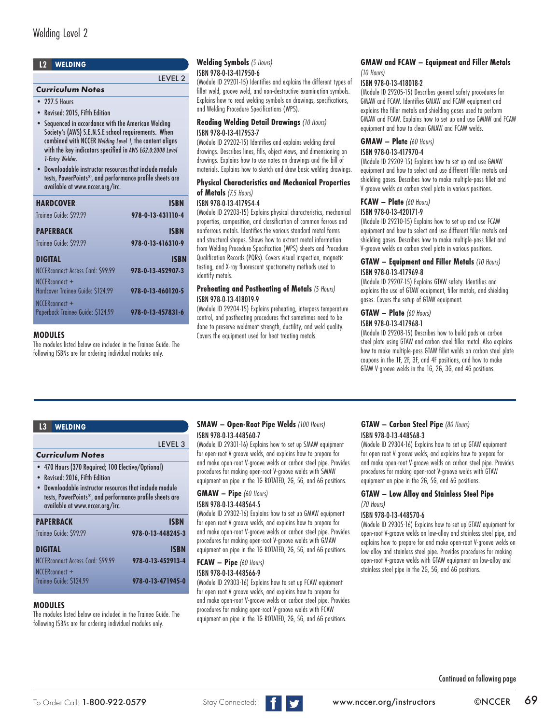# **L2 WELDING**

# *Curriculum Notes*

 $\bullet$  227.5 Hours

• Revised: 2015, Fifth Edition

• Sequenced in accordance with the American Welding Society's (AWS) S.E.N.S.E school requirements. When combined with NCCER *Welding Level 1*, the content aligns with the key indicators specified in *AWS EG2.0:2008 Level 1-Entry Welder*.

• Downloadable instructor resources that include module tests, PowerPoints®, and performance profile sheets are available at www.nccer.org/irc.

| <b>HARDCOVER</b>                                    | ISBN              |
|-----------------------------------------------------|-------------------|
| Trainee Guide: \$99.99                              | 978-0-13-431110-4 |
| <b>PAPERBACK</b>                                    | ISBN              |
| Trainee Guide: \$99.99                              | 978-0-13-416310-9 |
| <b>DIGITAL</b>                                      | <b>ISBN</b>       |
| NCCERconnect Access Card: \$99.99                   | 978-0-13-452907-3 |
| NCCERconnect +<br>Hardcover Trainee Guide: \$124.99 | 978-0-13-460120-5 |
| NCCERconnect +<br>Paperback Trainee Guide: \$124.99 | 978-0-13-457831-6 |

# **MODULES**

The modules listed below are included in the Trainee Guide. The following ISBNs are for ordering individual modules only.

#### **Welding Symbols** *(5 Hours)*  ISBN 978-0-13-417950-6

LEVEL 2

(Module ID 29201-15) Identifies and explains the different types of fillet weld, groove weld, and non-destructive examination symbols. Explains how to read welding symbols on drawings, specifications, and Welding Procedure Specifications (WPS).

#### **Reading Welding Detail Drawings** *(10 Hours)* ISBN 978-0-13-417953-7

(Module ID 29202-15) Identifies and explains welding detail drawings. Describes lines, fills, object views, and dimensioning on drawings. Explains how to use notes on drawings and the bill of materials. Explains how to sketch and draw basic welding drawings.

#### **Physical Characteristics and Mechanical Properties of Metals** *(7.5 Hours)* ISBN 978-0-13-417954-4

(Module ID 29203-15) Explains physical characteristics, mechanical properties, composition, and classification of common ferrous and nonferrous metals. Identifies the various standard metal forms and structural shapes. Shows how to extract metal information from Welding Procedure Specification (WPS) sheets and Procedure Qualification Records (PQRs). Covers visual inspection, magnetic testing, and X-ray fluorescent spectrometry methods used to identify metals.

## **Preheating and Postheating of Metals** *(5 Hours)* ISBN 978-0-13-418019-9

(Module ID 29204-15) Explains preheating, interpass temperature control, and postheating procedures that sometimes need to be done to preserve weldment strength, ductility, and weld quality. Covers the equipment used for heat treating metals.

## **GMAW and FCAW – Equipment and Filler Metals**  *(10 Hours)*

# ISBN 978-0-13-418018-2

(Module ID 29205-15) Describes general safety procedures for GMAW and FCAW. Identifies GMAW and FCAW equipment and explains the filler metals and shielding gases used to perform GMAW and FCAW. Explains how to set up and use GMAW and FCAW equipment and how to clean GMAW and FCAW welds.

# **GMAW – Plate** *(60 Hours)*

ISBN 978-0-13-417970-4

(Module ID 29209-15) Explains how to set up and use GMAW equipment and how to select and use different filler metals and shielding gases. Describes how to make multiple-pass fillet and V-groove welds on carbon steel plate in various positions.

# **FCAW – Plate** *(60 Hours)*

## ISBN 978-0-13-420171-9

(Module ID 29210-15) Explains how to set up and use FCAW equipment and how to select and use different filler metals and shielding gases. Describes how to make multiple-pass fillet and V-groove welds on carbon steel plate in various positions.

## **GTAW – Equipment and Filler Metals** *(10 Hours)* ISBN 978-0-13-417969-8

(Module ID 29207-15) Explains GTAW safety. Identifies and explains the use of GTAW equipment, filler metals, and shielding gases. Covers the setup of GTAW equipment.

# **GTAW – Plate** *(60 Hours)*

#### ISBN 978-0-13-417968-1

(Module ID 29208-15) Describes how to build pads on carbon steel plate using GTAW and carbon steel filler metal. Also explains how to make multiple-pass GTAW fillet welds on carbon steel plate coupons in the 1F, 2F, 3F, and 4F positions, and how to make GTAW V-groove welds in the 1G, 2G, 3G, and 4G positions.

## **L3 WELDING**

# *Curriculum Notes*

- 470 Hours (370 Required; 100 Elective/Optional)
- Revised: 2016, Fifth Edition
- Downloadable instructor resources that include module tests, PowerPoints®, and performance profile sheets are available at www.nccer.org/irc.

| <b>PAPERBACK</b>                          | <b>ISBN</b>       |
|-------------------------------------------|-------------------|
| Trainee Guide: \$99.99                    | 978-0-13-448245-3 |
| <b>DIGITAL</b>                            | <b>ISBN</b>       |
| NCCERconnect Access Card: \$99.99         | 978-0-13-452913-4 |
| NCCERconnect +<br>Trainee Guide: \$124.99 | 978-0-13-471945-0 |

# **MODULES**

The modules listed below are included in the Trainee Guide. The following ISBNs are for ordering individual modules only.

# **SMAW – Open-Root Pipe Welds** *(100 Hours)* ISBN 978-0-13-448560-7

(Module ID 29301-16) Explains how to set up SMAW equipment for open-root V-groove welds, and explains how to prepare for and make open-root V-groove welds on carbon steel pipe. Provides procedures for making open-root V-groove welds with SMAW equipment on pipe in the 1G-ROTATED, 2G, 5G, and 6G positions.

## **GMAW – Pipe** *(60 Hours)* ISBN 978-0-13-448564-5

LEVEL 3

(Module ID 29302-16) Explains how to set up GMAW equipment for open-root V-groove welds, and explains how to prepare for and make open-root V-groove welds on carbon steel pipe. Provides procedures for making open-root V-groove welds with GMAW equipment on pipe in the 1G-ROTATED, 2G, 5G, and 6G positions.

# **FCAW – Pipe** *(60 Hours)*

ISBN 978-0-13-448566-9

(Module ID 29303-16) Explains how to set up FCAW equipment for open-root V-groove welds, and explains how to prepare for and make open-root V-groove welds on carbon steel pipe. Provides procedures for making open-root V-groove welds with FCAW equipment on pipe in the 1G-ROTATED, 2G, 5G, and 6G positions.

#### **GTAW – Carbon Steel Pipe** *(80 Hours)* ISBN 978-0-13-448568-3

(Module ID 29304-16) Explains how to set up GTAW equipment for open-root V-groove welds, and explains how to prepare for and make open-root V-groove welds on carbon steel pipe. Provides procedures for making open-root V-groove welds with GTAW equipment on pipe in the 2G, 5G, and 6G positions.

#### **GTAW – Low Alloy and Stainless Steel Pipe**  *(70 Hours)*

# ISBN 978-0-13-448570-6

(Module ID 29305-16) Explains how to set up GTAW equipment for open-root V-groove welds on low-alloy and stainless steel pipe, and explains how to prepare for and make open-root V-groove welds on low-alloy and stainless steel pipe. Provides procedures for making open-root V-groove welds with GTAW equipment on low-alloy and stainless steel pipe in the 2G, 5G, and 6G positions.

Continued on following page